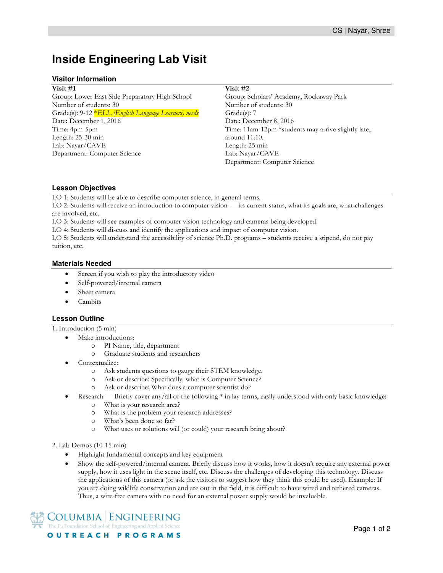# **Inside Engineering Lab Visit**

#### **Visitor Information**

**Visit #1** Group: Lower East Side Preparatory High School Number of students: 30 Grade(s): 9-12 \**ELL (English Language Learners) needs* Date**:** December 1, 2016 Time: 4pm-5pm Length: 25-30 min Lab: Nayar/CAVE Department: Computer Science

#### **Visit #2**

Group: Scholars' Academy, Rockaway Park Number of students: 30 Grade(s): 7 Date**:** December 8, 2016 Time: 11am-12pm \*students may arrive slightly late, around 11:10. Length: 25 min Lab: Nayar/CAVE Department: Computer Science

## **Lesson Objectives**

LO 1: Students will be able to describe computer science, in general terms.

LO 2: Students will receive an introduction to computer vision — its current status, what its goals are, what challenges are involved, etc.

LO 3: Students will see examples of computer vision technology and cameras being developed.

LO 4: Students will discuss and identify the applications and impact of computer vision.

LO 5: Students will understand the accessibility of science Ph.D. programs – students receive a stipend, do not pay tuition, etc.

## **Materials Needed**

- Screen if you wish to play the introductory video
- Self-powered/internal camera
- Sheet camera
- Cambits

## **Lesson Outline**

1. Introduction (5 min)

- Make introductions:
	- o PI Name, title, department
	- o Graduate students and researchers
- Contextualize:
	- o Ask students questions to gauge their STEM knowledge.
	- o Ask or describe: Specifically*,* what is Computer Science?
	- o Ask or describe: What does a computer scientist do?
- Research Briefly cover any/all of the following \* in lay terms, easily understood with only basic knowledge:
	- o What is your research area?
	- o What is the problem your research addresses?
	- o What's been done so far?
	- o What uses or solutions will (or could) your research bring about?

2. Lab Demos (10-15 min)

- Highlight fundamental concepts and key equipment
- Show the self-powered/internal camera. Briefly discuss how it works, how it doesn't require any external power supply, how it uses light in the scene itself, etc. Discuss the challenges of developing this technology. Discuss the applications of this camera (or ask the visitors to suggest how they think this could be used). Example: If you are doing wildlife conservation and are out in the field, it is difficult to have wired and tethered cameras. Thus, a wire-free camera with no need for an external power supply would be invaluable.